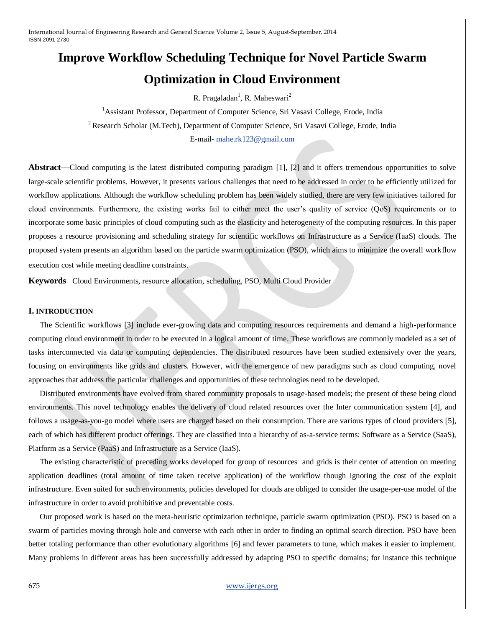# **Improve Workflow Scheduling Technique for Novel Particle Swarm Optimization in Cloud Environment**

R. Pragaladan<sup>1</sup>, R. Maheswari<sup>2</sup>

<sup>1</sup> Assistant Professor, Department of Computer Science, Sri Vasavi College, Erode, India <sup>2</sup> Research Scholar (M.Tech), Department of Computer Science, Sri Vasavi College, Erode, India E-mail- [mahe.rk123@gmail.com](mailto:mahe.rk123@gmail.com)

**Abstract**—Cloud computing is the latest distributed computing paradigm [1], [2] and it offers tremendous opportunities to solve large-scale scientific problems. However, it presents various challenges that need to be addressed in order to be efficiently utilized for workflow applications. Although the workflow scheduling problem has been widely studied, there are very few initiatives tailored for cloud environments. Furthermore, the existing works fail to either meet the user's quality of service (QoS) requirements or to incorporate some basic principles of cloud computing such as the elasticity and heterogeneity of the computing resources. In this paper proposes a resource provisioning and scheduling strategy for scientific workflows on Infrastructure as a Service (IaaS) clouds. The proposed system presents an algorithm based on the particle swarm optimization (PSO), which aims to minimize the overall workflow execution cost while meeting deadline constraints.

**Keywords**—Cloud Environments, resource allocation, scheduling, PSO, Multi Cloud Provider

### **I. INTRODUCTION**

The Scientific workflows [3] include ever-growing data and computing resources requirements and demand a high-performance computing cloud environment in order to be executed in a logical amount of time. These workflows are commonly modeled as a set of tasks interconnected via data or computing dependencies. The distributed resources have been studied extensively over the years, focusing on environments like grids and clusters. However, with the emergence of new paradigms such as cloud computing, novel approaches that address the particular challenges and opportunities of these technologies need to be developed.

Distributed environments have evolved from shared community proposals to usage-based models; the present of these being cloud environments. This novel technology enables the delivery of cloud related resources over the Inter communication system [4], and follows a usage-as-you-go model where users are charged based on their consumption. There are various types of cloud providers [5], each of which has different product offerings. They are classified into a hierarchy of as-a-service terms: Software as a Service (SaaS), Platform as a Service (PaaS) and Infrastructure as a Service (IaaS).

The existing characteristic of preceding works developed for group of resources and grids is their center of attention on meeting application deadlines (total amount of time taken receive application) of the workflow though ignoring the cost of the exploit infrastructure. Even suited for such environments, policies developed for clouds are obliged to consider the usage-per-use model of the infrastructure in order to avoid prohibitive and preventable costs.

Our proposed work is based on the meta-heuristic optimization technique, particle swarm optimization (PSO). PSO is based on a swarm of particles moving through hole and converse with each other in order to finding an optimal search direction. PSO have been better totaling performance than other evolutionary algorithms [6] and fewer parameters to tune, which makes it easier to implement. Many problems in different areas has been successfully addressed by adapting PSO to specific domains; for instance this technique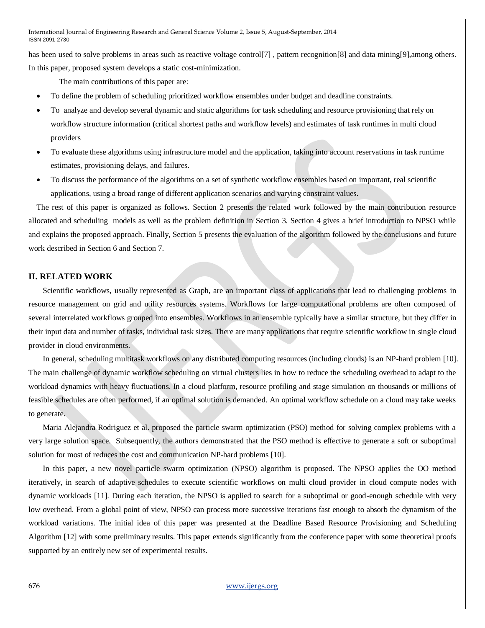has been used to solve problems in areas such as reactive voltage control[7], pattern recognition[8] and data mining[9], among others. In this paper, proposed system develops a static cost-minimization.

The main contributions of this paper are:

- To define the problem of scheduling prioritized workflow ensembles under budget and deadline constraints.
- To analyze and develop several dynamic and static algorithms for task scheduling and resource provisioning that rely on workflow structure information (critical shortest paths and workflow levels) and estimates of task runtimes in multi cloud providers
- To evaluate these algorithms using infrastructure model and the application, taking into account reservations in task runtime estimates, provisioning delays, and failures.
- To discuss the performance of the algorithms on a set of synthetic workflow ensembles based on important, real scientific applications, using a broad range of different application scenarios and varying constraint values.

The rest of this paper is organized as follows. Section 2 presents the related work followed by the main contribution resource allocated and scheduling models as well as the problem definition in Section 3. Section 4 gives a brief introduction to NPSO while and explains the proposed approach. Finally, Section 5 presents the evaluation of the algorithm followed by the conclusions and future work described in Section 6 and Section 7.

### **II. RELATED WORK**

Scientific workflows, usually represented as Graph, are an important class of applications that lead to challenging problems in resource management on grid and utility resources systems. Workflows for large computational problems are often composed of several interrelated workflows grouped into ensembles. Workflows in an ensemble typically have a similar structure, but they differ in their input data and number of tasks, individual task sizes. There are many applications that require scientific workflow in single cloud provider in cloud environments.

In general, scheduling multitask workflows on any distributed computing resources (including clouds) is an NP-hard problem [10]. The main challenge of dynamic workflow scheduling on virtual clusters lies in how to reduce the scheduling overhead to adapt to the workload dynamics with heavy fluctuations. In a cloud platform, resource profiling and stage simulation on thousands or millions of feasible schedules are often performed, if an optimal solution is demanded. An optimal workflow schedule on a cloud may take weeks to generate.

Maria Alejandra Rodriguez et al. proposed the particle swarm optimization (PSO) method for solving complex problems with a very large solution space. Subsequently, the authors demonstrated that the PSO method is effective to generate a soft or suboptimal solution for most of reduces the cost and communication NP-hard problems [10].

In this paper, a new novel particle swarm optimization (NPSO) algorithm is proposed. The NPSO applies the OO method iteratively, in search of adaptive schedules to execute scientific workflows on multi cloud provider in cloud compute nodes with dynamic workloads [11]. During each iteration, the NPSO is applied to search for a suboptimal or good-enough schedule with very low overhead. From a global point of view, NPSO can process more successive iterations fast enough to absorb the dynamism of the workload variations. The initial idea of this paper was presented at the Deadline Based Resource Provisioning and Scheduling Algorithm [12] with some preliminary results. This paper extends significantly from the conference paper with some theoretical proofs supported by an entirely new set of experimental results.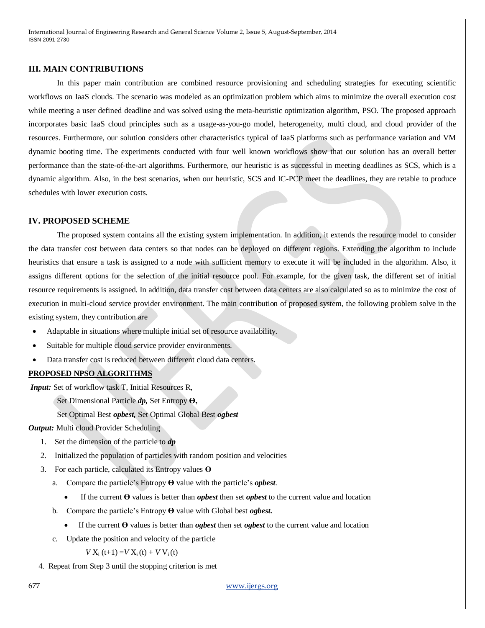### **III. MAIN CONTRIBUTIONS**

In this paper main contribution are combined resource provisioning and scheduling strategies for executing scientific workflows on IaaS clouds. The scenario was modeled as an optimization problem which aims to minimize the overall execution cost while meeting a user defined deadline and was solved using the meta-heuristic optimization algorithm, PSO. The proposed approach incorporates basic IaaS cloud principles such as a usage-as-you-go model, heterogeneity, multi cloud, and cloud provider of the resources. Furthermore, our solution considers other characteristics typical of IaaS platforms such as performance variation and VM dynamic booting time. The experiments conducted with four well known workflows show that our solution has an overall better performance than the state-of-the-art algorithms. Furthermore, our heuristic is as successful in meeting deadlines as SCS, which is a dynamic algorithm. Also, in the best scenarios, when our heuristic, SCS and IC-PCP meet the deadlines, they are retable to produce schedules with lower execution costs.

### **IV. PROPOSED SCHEME**

The proposed system contains all the existing system implementation. In addition, it extends the resource model to consider the data transfer cost between data centers so that nodes can be deployed on different regions. Extending the algorithm to include heuristics that ensure a task is assigned to a node with sufficient memory to execute it will be included in the algorithm. Also, it assigns different options for the selection of the initial resource pool. For example, for the given task, the different set of initial resource requirements is assigned. In addition, data transfer cost between data centers are also calculated so as to minimize the cost of execution in multi-cloud service provider environment. The main contribution of proposed system, the following problem solve in the existing system, they contribution are

- Adaptable in situations where multiple initial set of resource availability.
- Suitable for multiple cloud service provider environments.
- Data transfer cost is reduced between different cloud data centers.

#### **PROPOSED NPSO ALGORITHMS**

*Input:* Set of workflow task T, Initial Resources R,

- Set Dimensional Particle *dp,* Set Entropy **Ө,**
- Set Optimal Best *opbest,* Set Optimal Global Best *ogbest*

#### *Output:* Multi cloud Provider Scheduling

- 1. Set the dimension of the particle to *dp*
- 2. Initialized the population of particles with random position and velocities
- 3. For each particle, calculated its Entropy values **Ө**
	- a. Compare the particle's Entropy **Ө** value with the particle's *opbest*.
		- If the current **Ө** values is better than *opbest* then set *opbest* to the current value and location
	- b. Compare the particle's Entropy **Ө** value with Global best *ogbest.*
		- If the current **Ө** values is better than *ogbest* then set *ogbest* to the current value and location
	- c. Update the position and velocity of the particle

 $V X_i (t+1) = V X_i (t) + V V_i (t)$ 

4. Repeat from Step 3 until the stopping criterion is met

677 [www.ijergs.org](http://www.ijergs.org/)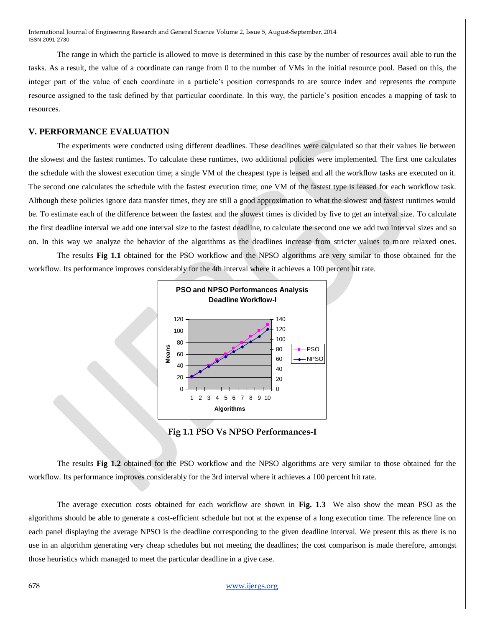The range in which the particle is allowed to move is determined in this case by the number of resources avail able to run the tasks. As a result, the value of a coordinate can range from 0 to the number of VMs in the initial resource pool. Based on this, the integer part of the value of each coordinate in a particle's position corresponds to are source index and represents the compute resource assigned to the task defined by that particular coordinate. In this way, the particle's position encodes a mapping of task to resources.

## **V. PERFORMANCE EVALUATION**

The experiments were conducted using different deadlines. These deadlines were calculated so that their values lie between the slowest and the fastest runtimes. To calculate these runtimes, two additional policies were implemented. The first one calculates the schedule with the slowest execution time; a single VM of the cheapest type is leased and all the workflow tasks are executed on it. The second one calculates the schedule with the fastest execution time; one VM of the fastest type is leased for each workflow task. Although these policies ignore data transfer times, they are still a good approximation to what the slowest and fastest runtimes would be. To estimate each of the difference between the fastest and the slowest times is divided by five to get an interval size. To calculate the first deadline interval we add one interval size to the fastest deadline, to calculate the second one we add two interval sizes and so on. In this way we analyze the behavior of the algorithms as the deadlines increase from stricter values to more relaxed ones.

The results **Fig 1.1** obtained for the PSO workflow and the NPSO algorithms are very similar to those obtained for the workflow. Its performance improves considerably for the 4th interval where it achieves a 100 percent hit rate.



**Fig 1.1 PSO Vs NPSO Performances-I** 

The results **Fig 1.2** obtained for the PSO workflow and the NPSO algorithms are very similar to those obtained for the workflow. Its performance improves considerably for the 3rd interval where it achieves a 100 percent hit rate.

The average execution costs obtained for each workflow are shown in **Fig. 1.3** We also show the mean PSO as the algorithms should be able to generate a cost-efficient schedule but not at the expense of a long execution time. The reference line on each panel displaying the average NPSO is the deadline corresponding to the given deadline interval. We present this as there is no use in an algorithm generating very cheap schedules but not meeting the deadlines; the cost comparison is made therefore, amongst those heuristics which managed to meet the particular deadline in a give case.

# 678 [www.ijergs.org](http://www.ijergs.org/)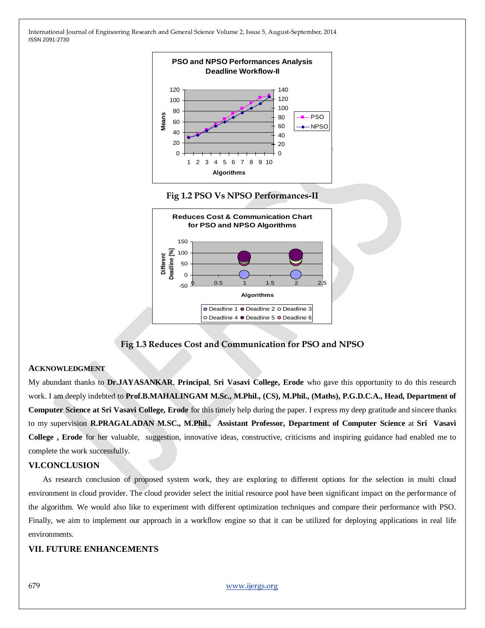





**Fig 1.3 Reduces Cost and Communication for PSO and NPSO**

## **ACKNOWLEDGMENT**

My abundant thanks to **Dr.JAYASANKAR**, **Principal**, **Sri Vasavi College, Erode** who gave this opportunity to do this research work. I am deeply indebted to **Prof.B.MAHALINGAM M.Sc., M.Phil., (CS), M.Phil., (Maths), P.G.D.C.A., Head, Department of Computer Science at Sri Vasavi College, Erode** for this timely help during the paper. I express my deep gratitude and sincere thanks to my supervision **R.PRAGALADAN M.SC., M.Phil., Assistant Professor, Department of Computer Science** at **Sri Vasavi College , Erode** for her valuable, suggestion, innovative ideas, constructive, criticisms and inspiring guidance had enabled me to complete the work successfully.

## **VI.CONCLUSION**

As research conclusion of proposed system work, they are exploring to different options for the selection in multi cloud environment in cloud provider. The cloud provider select the initial resource pool have been significant impact on the performance of the algorithm. We would also like to experiment with different optimization techniques and compare their performance with PSO. Finally, we aim to implement our approach in a workflow engine so that it can be utilized for deploying applications in real life environments.

# **VII. FUTURE ENHANCEMENTS**